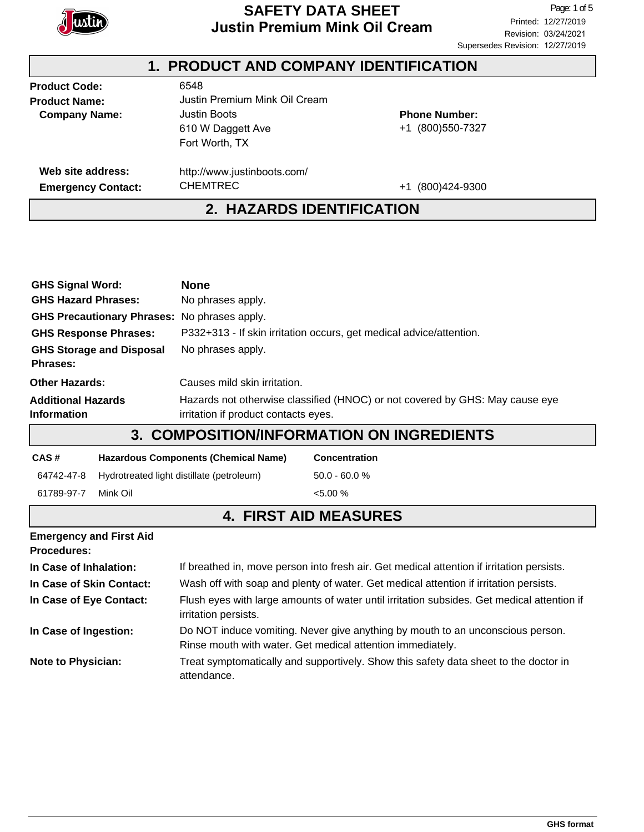

## **SAFETY DATA SHEET**<br> **Page:** 1 of 5<br> **Printed:** 12/27/2019 **Justin Premium Mink Oil Cream**

#### **Product Code: Product Name: Company Name:** Emergency Contact: CHEMTREC +1 (800)424-9300 **Phone Number:** +1 (800)550-7327 6548 Justin Premium Mink Oil Cream Justin Boots 610 W Daggett Ave Fort Worth, TX http://www.justinboots.com/ CHEMTREC **Web site address: 1. PRODUCT AND COMPANY IDENTIFICATION 2. HAZARDS IDENTIFICATION**

| <b>GHS Signal Word:</b><br><b>None</b><br><b>GHS Hazard Phrases:</b><br>No phrases apply.                                                                               |                                                                                                                    |                                                                                      |  |  |
|-------------------------------------------------------------------------------------------------------------------------------------------------------------------------|--------------------------------------------------------------------------------------------------------------------|--------------------------------------------------------------------------------------|--|--|
| GHS Precautionary Phrases: No phrases apply.                                                                                                                            |                                                                                                                    |                                                                                      |  |  |
| <b>GHS Response Phrases:</b>                                                                                                                                            | P332+313 - If skin irritation occurs, get medical advice/attention.                                                |                                                                                      |  |  |
| <b>GHS Storage and Disposal</b><br>Phrases:                                                                                                                             |                                                                                                                    |                                                                                      |  |  |
| <b>Other Hazards:</b><br>Causes mild skin irritation.                                                                                                                   |                                                                                                                    |                                                                                      |  |  |
| <b>Additional Hazards</b><br>Hazards not otherwise classified (HNOC) or not covered by GHS: May cause eye<br><b>Information</b><br>irritation if product contacts eyes. |                                                                                                                    |                                                                                      |  |  |
| <b>3. COMPOSITION/INFORMATION ON INGREDIENTS</b>                                                                                                                        |                                                                                                                    |                                                                                      |  |  |
| CAS#                                                                                                                                                                    | <b>Hazardous Components (Chemical Name)</b>                                                                        | Concentration                                                                        |  |  |
| 64742-47-8                                                                                                                                                              | Hydrotreated light distillate (petroleum)                                                                          | $50.0 - 60.0 %$                                                                      |  |  |
| 61789-97-7<br>Mink Oil                                                                                                                                                  |                                                                                                                    | $< 5.00 \%$                                                                          |  |  |
|                                                                                                                                                                         | <b>4. FIRST AID MEASURES</b>                                                                                       |                                                                                      |  |  |
| <b>Emergency and First Aid</b><br><b>Procedures:</b>                                                                                                                    |                                                                                                                    |                                                                                      |  |  |
| In Case of Inhalation:                                                                                                                                                  | If breathed in, move person into fresh air. Get medical attention if irritation persists.                          |                                                                                      |  |  |
| In Case of Skin Contact:                                                                                                                                                | Wash off with soap and plenty of water. Get medical attention if irritation persists.                              |                                                                                      |  |  |
| In Case of Eye Contact:                                                                                                                                                 | Flush eyes with large amounts of water until irritation subsides. Get medical attention if<br>irritation persists. |                                                                                      |  |  |
| In Case of Ingestion:<br>Do NOT induce vomiting. Never give anything by mouth to an unconscious person.<br>Rinse mouth with water. Get medical attention immediately.   |                                                                                                                    |                                                                                      |  |  |
| <b>Note to Physician:</b><br>attendance.                                                                                                                                |                                                                                                                    | Treat symptomatically and supportively. Show this safety data sheet to the doctor in |  |  |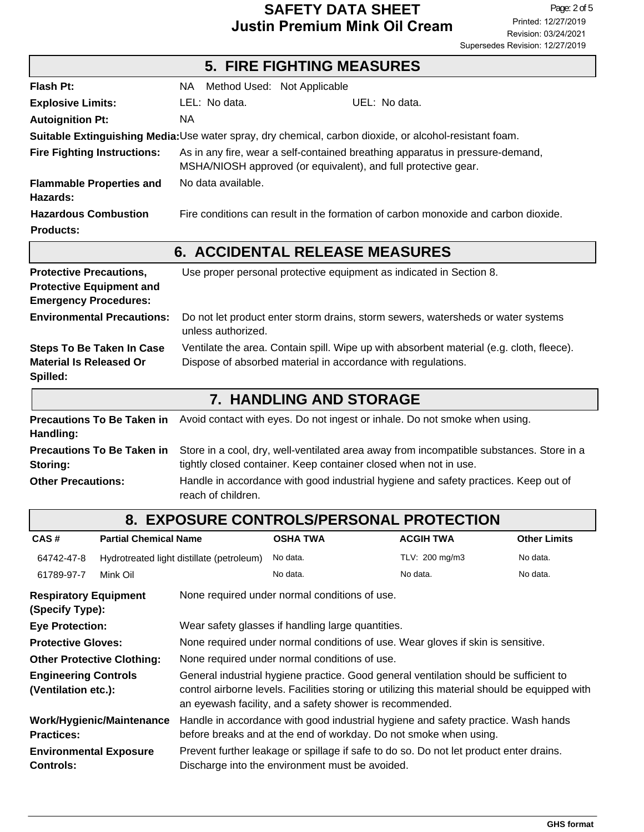## **SAFETY DATA SHEET**<br> **EXAGE THE PAGE IN THE PROPERTY PROPERTY PROPERTY**<br>
Printed: 12/27/2019 **Justin Premium Mink Oil Cream**

|                                                                                                   | <b>5. FIRE FIGHTING MEASURES</b>                                                                                                                             |  |  |
|---------------------------------------------------------------------------------------------------|--------------------------------------------------------------------------------------------------------------------------------------------------------------|--|--|
| Flash Pt:                                                                                         | NA Method Used: Not Applicable                                                                                                                               |  |  |
| <b>Explosive Limits:</b>                                                                          | LEL: No data.<br>UEL: No data.                                                                                                                               |  |  |
| <b>Autoignition Pt:</b>                                                                           | <b>NA</b>                                                                                                                                                    |  |  |
|                                                                                                   | Suitable Extinguishing Media: Use water spray, dry chemical, carbon dioxide, or alcohol-resistant foam.                                                      |  |  |
| <b>Fire Fighting Instructions:</b>                                                                | As in any fire, wear a self-contained breathing apparatus in pressure-demand,<br>MSHA/NIOSH approved (or equivalent), and full protective gear.              |  |  |
| <b>Flammable Properties and</b><br>Hazards:                                                       | No data available.                                                                                                                                           |  |  |
| <b>Hazardous Combustion</b><br><b>Products:</b>                                                   | Fire conditions can result in the formation of carbon monoxide and carbon dioxide.                                                                           |  |  |
| <b>6. ACCIDENTAL RELEASE MEASURES</b>                                                             |                                                                                                                                                              |  |  |
| <b>Protective Precautions,</b><br><b>Protective Equipment and</b><br><b>Emergency Procedures:</b> | Use proper personal protective equipment as indicated in Section 8.                                                                                          |  |  |
| <b>Environmental Precautions:</b>                                                                 | Do not let product enter storm drains, storm sewers, watersheds or water systems<br>unless authorized.                                                       |  |  |
| <b>Steps To Be Taken In Case</b><br><b>Material Is Released Or</b><br>Spilled:                    | Ventilate the area. Contain spill. Wipe up with absorbent material (e.g. cloth, fleece).<br>Dispose of absorbed material in accordance with regulations.     |  |  |
| <b>7. HANDLING AND STORAGE</b>                                                                    |                                                                                                                                                              |  |  |
| <b>Precautions To Be Taken in</b><br>Handling:                                                    | Avoid contact with eyes. Do not ingest or inhale. Do not smoke when using.                                                                                   |  |  |
| <b>Precautions To Be Taken in</b><br>Storing:                                                     | Store in a cool, dry, well-ventilated area away from incompatible substances. Store in a<br>tightly closed container. Keep container closed when not in use. |  |  |
| <b>Other Precautions:</b>                                                                         | Handle in accordance with good industrial hygiene and safety practices. Keep out of<br>reach of children.                                                    |  |  |
|                                                                                                   | 8. EXPOSURE CONTROLS/PERSONAL PROTECTION                                                                                                                     |  |  |

| CAS#                                               | <b>Partial Chemical Name</b> |                                                                                                                                                                                                                                                     | <b>OSHA TWA</b>                                                                                                                           | <b>ACGIH TWA</b> | <b>Other Limits</b> |
|----------------------------------------------------|------------------------------|-----------------------------------------------------------------------------------------------------------------------------------------------------------------------------------------------------------------------------------------------------|-------------------------------------------------------------------------------------------------------------------------------------------|------------------|---------------------|
| 64742-47-8                                         |                              | Hydrotreated light distillate (petroleum)                                                                                                                                                                                                           | No data.                                                                                                                                  | TLV: 200 mg/m3   | No data.            |
| 61789-97-7                                         | Mink Oil                     |                                                                                                                                                                                                                                                     | No data.                                                                                                                                  | No data.         | No data.            |
| <b>Respiratory Equipment</b><br>(Specify Type):    |                              |                                                                                                                                                                                                                                                     | None required under normal conditions of use.                                                                                             |                  |                     |
| <b>Eye Protection:</b>                             |                              |                                                                                                                                                                                                                                                     | Wear safety glasses if handling large quantities.                                                                                         |                  |                     |
| <b>Protective Gloves:</b>                          |                              |                                                                                                                                                                                                                                                     | None required under normal conditions of use. Wear gloves if skin is sensitive.                                                           |                  |                     |
| <b>Other Protective Clothing:</b>                  |                              |                                                                                                                                                                                                                                                     | None required under normal conditions of use.                                                                                             |                  |                     |
| <b>Engineering Controls</b><br>(Ventilation etc.): |                              | General industrial hygiene practice. Good general ventilation should be sufficient to<br>control airborne levels. Facilities storing or utilizing this material should be equipped with<br>an eyewash facility, and a safety shower is recommended. |                                                                                                                                           |                  |                     |
| <b>Practices:</b>                                  | Work/Hygienic/Maintenance    | Handle in accordance with good industrial hygiene and safety practice. Wash hands<br>before breaks and at the end of workday. Do not smoke when using.                                                                                              |                                                                                                                                           |                  |                     |
| <b>Environmental Exposure</b><br><b>Controls:</b>  |                              |                                                                                                                                                                                                                                                     | Prevent further leakage or spillage if safe to do so. Do not let product enter drains.<br>Discharge into the environment must be avoided. |                  |                     |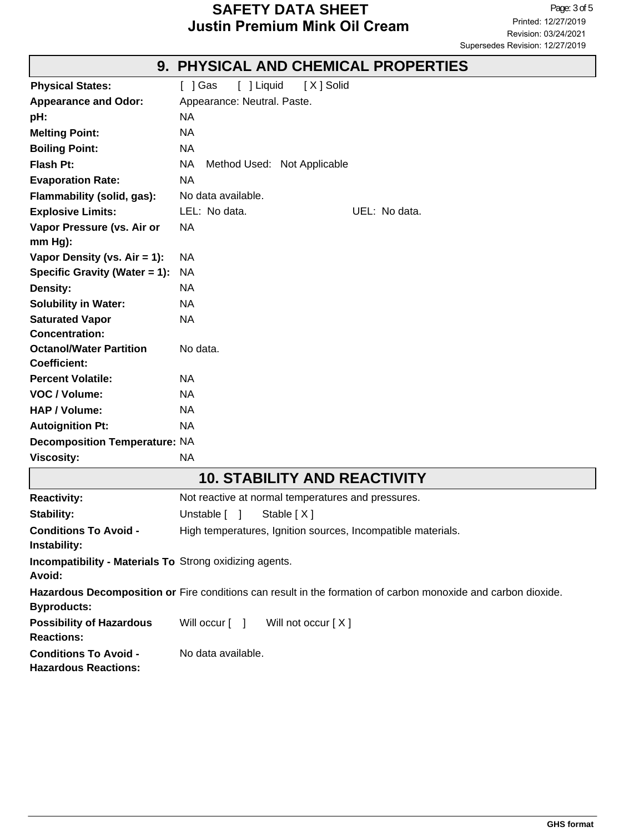### **SAFETY DATA SHEET**<br> **Page:** 3 of 5<br> **Printed:** 12/27/2019 **Justin Premium Mink Oil Cream**

|                                      | 9. FOI SIGAL AND GOEIVIGAL FROFERTIES              |  |  |
|--------------------------------------|----------------------------------------------------|--|--|
| <b>Physical States:</b>              | [ ] Liquid<br>[ 1 Gas<br>[X] Solid                 |  |  |
| <b>Appearance and Odor:</b>          | Appearance: Neutral. Paste.                        |  |  |
| pH:                                  | <b>NA</b>                                          |  |  |
| <b>Melting Point:</b>                | <b>NA</b>                                          |  |  |
| <b>Boiling Point:</b>                | <b>NA</b>                                          |  |  |
| Flash Pt:                            | <b>NA</b><br>Method Used: Not Applicable           |  |  |
| <b>Evaporation Rate:</b>             | <b>NA</b>                                          |  |  |
| Flammability (solid, gas):           | No data available.                                 |  |  |
| <b>Explosive Limits:</b>             | LEL: No data.<br>UEL: No data.                     |  |  |
| Vapor Pressure (vs. Air or           | <b>NA</b>                                          |  |  |
| $mm Hg$ :                            |                                                    |  |  |
| Vapor Density (vs. $Air = 1$ ):      | <b>NA</b>                                          |  |  |
| Specific Gravity (Water = 1):        | <b>NA</b>                                          |  |  |
| <b>Density:</b>                      | <b>NA</b>                                          |  |  |
| <b>Solubility in Water:</b>          | <b>NA</b>                                          |  |  |
| <b>Saturated Vapor</b>               | <b>NA</b>                                          |  |  |
| <b>Concentration:</b>                |                                                    |  |  |
| <b>Octanol/Water Partition</b>       | No data.                                           |  |  |
| <b>Coefficient:</b>                  |                                                    |  |  |
| <b>Percent Volatile:</b>             | <b>NA</b>                                          |  |  |
| VOC / Volume:                        | <b>NA</b>                                          |  |  |
| <b>HAP / Volume:</b>                 | <b>NA</b>                                          |  |  |
| <b>Autoignition Pt:</b>              | <b>NA</b>                                          |  |  |
| <b>Decomposition Temperature: NA</b> |                                                    |  |  |
| <b>Viscosity:</b>                    | <b>NA</b>                                          |  |  |
|                                      | <b>10. STABILITY AND REACTIVITY</b>                |  |  |
| <b>Reactivity:</b>                   | Not reactive at normal temperatures and pressures. |  |  |
| <b>Stability:</b>                    | Stable [X]<br>Unstable [<br>-1                     |  |  |

### **9. PHYSICAL AND CHEMICAL PROPERTIES**

**Incompatibility - Materials To** Strong oxidizing agents.

**Avoid:**

**Instability:**

**Hazardous Decomposition or** Fire conditions can result in the formation of carbon monoxide and carbon dioxide. **Byproducts:**

**Conditions To Avoid -** High temperatures, Ignition sources, Incompatible materials.

**Possibility of Hazardous** Will occur [ ] Will not occur [ X ] **Reactions:**

**Conditions To Avoid -** No data available.

**Hazardous Reactions:**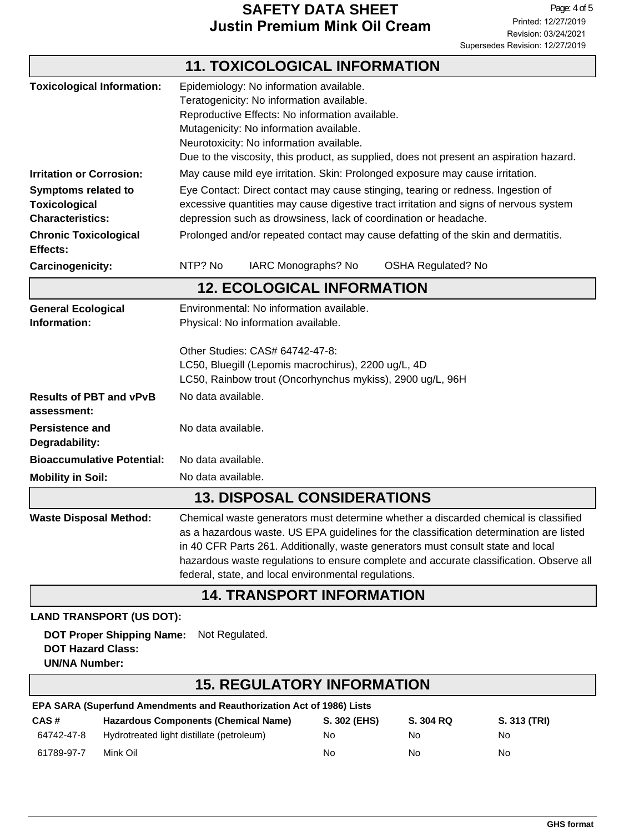### **SAFETY DATA SHEET**<br> **EXAGE THE PAGE IN THE PAGE OF A SHELL PROPENDED**<br>
Printed: 12/27/2019 **Justin Premium Mink Oil Cream**

┐

|                                                                               |                                                                                                                                                                                                                                                                                                                                                                                                                       | <b>11. TOXICOLOGICAL INFORMATION</b> |                           |  |
|-------------------------------------------------------------------------------|-----------------------------------------------------------------------------------------------------------------------------------------------------------------------------------------------------------------------------------------------------------------------------------------------------------------------------------------------------------------------------------------------------------------------|--------------------------------------|---------------------------|--|
| <b>Toxicological Information:</b>                                             | Epidemiology: No information available.<br>Teratogenicity: No information available.<br>Reproductive Effects: No information available.<br>Mutagenicity: No information available.<br>Neurotoxicity: No information available.<br>Due to the viscosity, this product, as supplied, does not present an aspiration hazard.                                                                                             |                                      |                           |  |
| <b>Irritation or Corrosion:</b>                                               | May cause mild eye irritation. Skin: Prolonged exposure may cause irritation.                                                                                                                                                                                                                                                                                                                                         |                                      |                           |  |
| <b>Symptoms related to</b><br><b>Toxicological</b><br><b>Characteristics:</b> | Eye Contact: Direct contact may cause stinging, tearing or redness. Ingestion of<br>excessive quantities may cause digestive tract irritation and signs of nervous system<br>depression such as drowsiness, lack of coordination or headache.                                                                                                                                                                         |                                      |                           |  |
| <b>Chronic Toxicological</b><br>Effects:                                      | Prolonged and/or repeated contact may cause defatting of the skin and dermatitis.                                                                                                                                                                                                                                                                                                                                     |                                      |                           |  |
| Carcinogenicity:                                                              | NTP? No                                                                                                                                                                                                                                                                                                                                                                                                               | IARC Monographs? No                  | <b>OSHA Regulated? No</b> |  |
| <b>12. ECOLOGICAL INFORMATION</b>                                             |                                                                                                                                                                                                                                                                                                                                                                                                                       |                                      |                           |  |
| <b>General Ecological</b><br>Information:                                     | Environmental: No information available.<br>Physical: No information available.<br>Other Studies: CAS# 64742-47-8:<br>LC50, Bluegill (Lepomis macrochirus), 2200 ug/L, 4D<br>LC50, Rainbow trout (Oncorhynchus mykiss), 2900 ug/L, 96H                                                                                                                                                                                |                                      |                           |  |
|                                                                               |                                                                                                                                                                                                                                                                                                                                                                                                                       |                                      |                           |  |
| <b>Results of PBT and vPvB</b><br>assessment:                                 | No data available.                                                                                                                                                                                                                                                                                                                                                                                                    |                                      |                           |  |
| <b>Persistence and</b><br>Degradability:                                      | No data available.                                                                                                                                                                                                                                                                                                                                                                                                    |                                      |                           |  |
| <b>Bioaccumulative Potential:</b>                                             |                                                                                                                                                                                                                                                                                                                                                                                                                       | No data available.                   |                           |  |
| <b>Mobility in Soil:</b>                                                      | No data available.                                                                                                                                                                                                                                                                                                                                                                                                    |                                      |                           |  |
| <b>13. DISPOSAL CONSIDERATIONS</b>                                            |                                                                                                                                                                                                                                                                                                                                                                                                                       |                                      |                           |  |
| <b>Waste Disposal Method:</b>                                                 | Chemical waste generators must determine whether a discarded chemical is classified<br>as a hazardous waste. US EPA guidelines for the classification determination are listed<br>in 40 CFR Parts 261. Additionally, waste generators must consult state and local<br>hazardous waste regulations to ensure complete and accurate classification. Observe all<br>federal, state, and local environmental regulations. |                                      |                           |  |
|                                                                               |                                                                                                                                                                                                                                                                                                                                                                                                                       | <b>14. TRANSPORT INFORMATION</b>     |                           |  |
| <b>LAND TRANSPORT (US DOT):</b>                                               |                                                                                                                                                                                                                                                                                                                                                                                                                       |                                      |                           |  |
| <b>DOT Proper Shipping Name:</b><br><b>DOT Hazard Class:</b>                  | Not Regulated.                                                                                                                                                                                                                                                                                                                                                                                                        |                                      |                           |  |

#### **UN/NA Number:**

Г

# **15. REGULATORY INFORMATION**

| EPA SARA (Superfund Amendments and Reauthorization Act of 1986) Lists |                                             |              |           |              |  |
|-----------------------------------------------------------------------|---------------------------------------------|--------------|-----------|--------------|--|
| CAS#                                                                  | <b>Hazardous Components (Chemical Name)</b> | S. 302 (EHS) | S. 304 RQ | S. 313 (TRI) |  |
| 64742-47-8                                                            | Hydrotreated light distillate (petroleum)   | No           | No.       | No           |  |
| 61789-97-7                                                            | Mink Oil                                    | No           | No.       | No           |  |